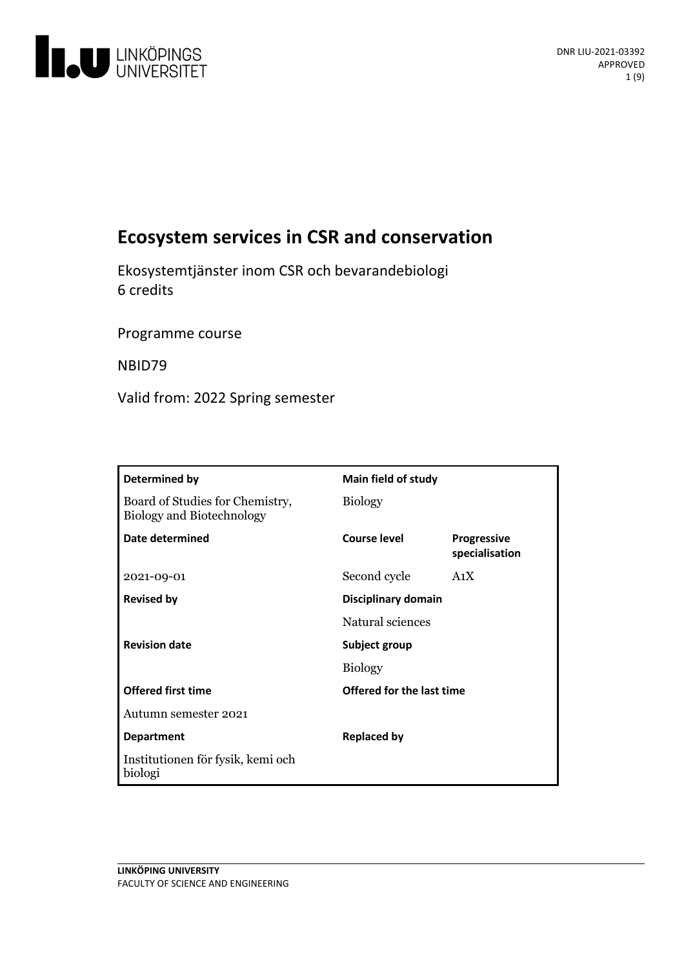

# **Ecosystem services in CSR and conservation**

Ekosystemtjänster inom CSR och bevarandebiologi 6 credits

Programme course

NBID79

Valid from: 2022 Spring semester

| Determined by                                                       | Main field of study       |                                      |
|---------------------------------------------------------------------|---------------------------|--------------------------------------|
| Board of Studies for Chemistry,<br><b>Biology and Biotechnology</b> | <b>Biology</b>            |                                      |
| Date determined                                                     | Course level              | <b>Progressive</b><br>specialisation |
| 2021-09-01                                                          | Second cycle              | A <sub>1</sub> X                     |
| <b>Revised by</b>                                                   | Disciplinary domain       |                                      |
|                                                                     | Natural sciences          |                                      |
| <b>Revision date</b>                                                | Subject group             |                                      |
|                                                                     | <b>Biology</b>            |                                      |
| <b>Offered first time</b>                                           | Offered for the last time |                                      |
| Autumn semester 2021                                                |                           |                                      |
| <b>Department</b>                                                   | <b>Replaced by</b>        |                                      |
| Institutionen för fysik, kemi och<br>biologi                        |                           |                                      |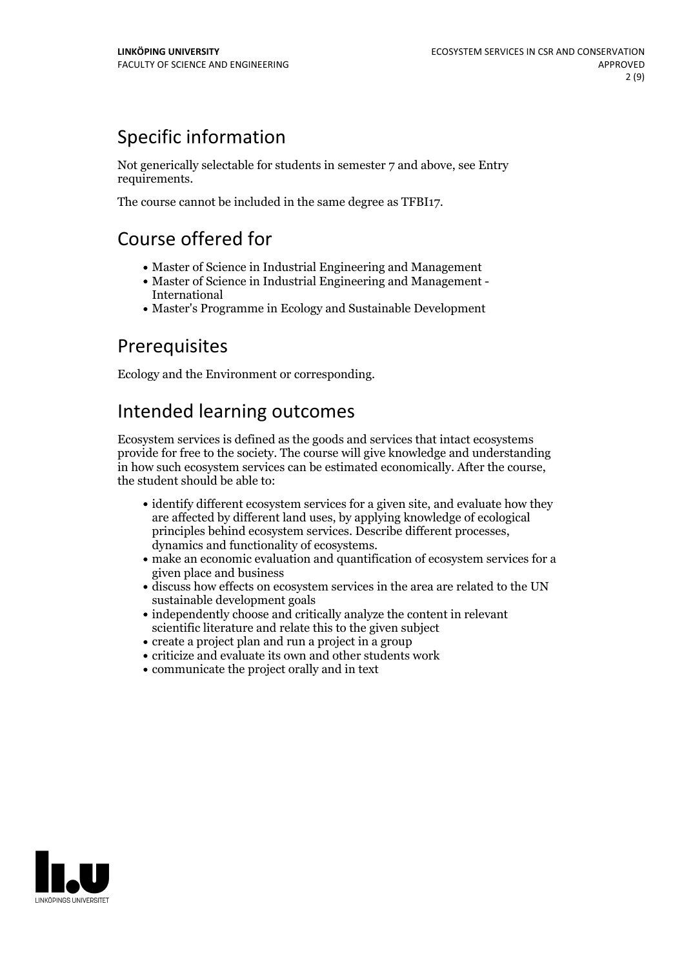# Specific information

Not generically selectable for students in semester 7 and above, see Entry requirements.

The course cannot be included in the same degree as TFBI17.

# Course offered for

- Master of Science in Industrial Engineering and Management
- Master of Science in Industrial Engineering and Management International
- Master's Programme in Ecology and Sustainable Development

## Prerequisites

Ecology and the Environment or corresponding.

# Intended learning outcomes

Ecosystem services is defined as the goods and services that intact ecosystems provide for free to the society. The course will give knowledge and understanding in how such ecosystem services can be estimated economically. After the course, the student should be able to:

- identify different ecosystem services for a given site, and evaluate how they are affected by different land uses, by applying knowledge of ecological principles behind ecosystem services. Describe different processes, dynamics and functionality of ecosystems.<br> make an economic evaluation and quantification of ecosystem services for a
- given place and business
- discuss how effects on ecosystem services in the area are related to the UN sustainable development goals
- independently choose and critically analyze the content in relevant scientific literature and relate this to the given subject
- create a project plan and run a project in a group
- criticize and evaluate its own and other students work
- communicate the project orally and in text

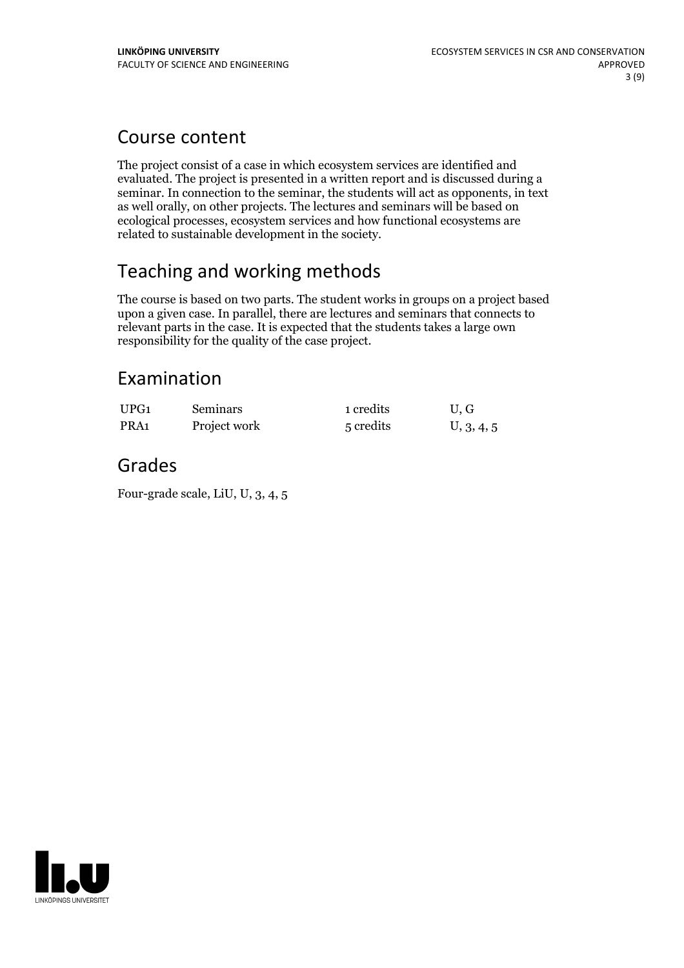## Course content

The project consist of a case in which ecosystem services are identified and evaluated. The project is presented in a written report and is discussed during a seminar. In connection to the seminar, the students will act as opponents, in text as well orally, on other projects. The lectures and seminars will be based on ecological processes, ecosystem services and how functional ecosystems are related to sustainable development in the society.

# Teaching and working methods

The course is based on two parts. The student works in groups on a project based upon a given case. In parallel, there are lectures and seminars that connects to relevant parts in the case. It is expected that the students takes a large own responsibility for the quality of the case project.

## Examination

| UPG1             | <b>Seminars</b> | 1 credits | U.G        |
|------------------|-----------------|-----------|------------|
| PRA <sub>1</sub> | Project work    | 5 credits | U, 3, 4, 5 |

## Grades

Four-grade scale, LiU, U, 3, 4, 5

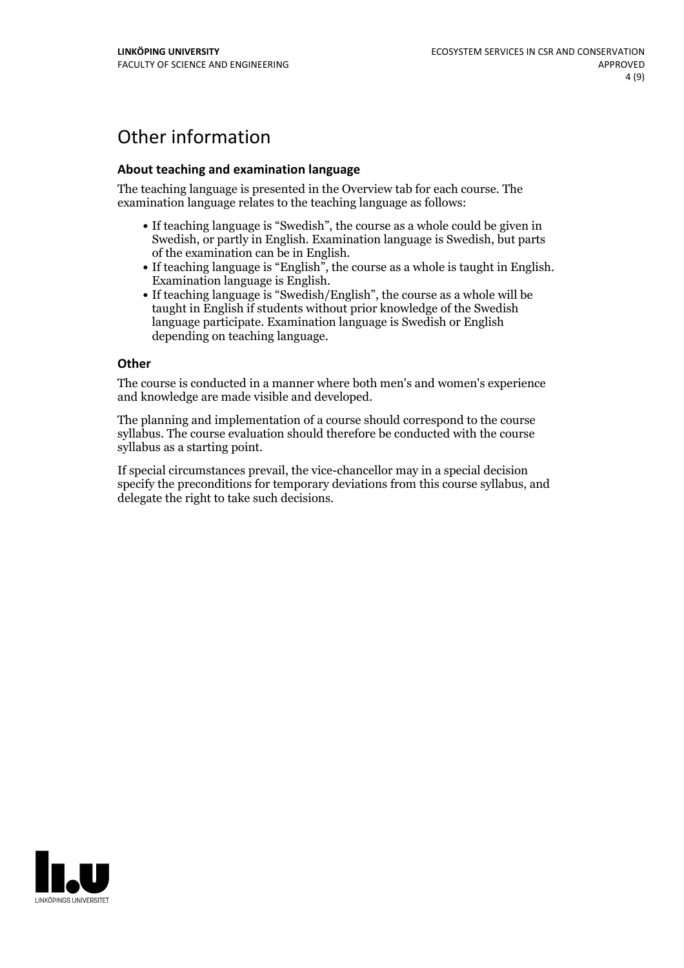## Other information

### **About teaching and examination language**

The teaching language is presented in the Overview tab for each course. The examination language relates to the teaching language as follows:

- If teaching language is "Swedish", the course as a whole could be given in Swedish, or partly in English. Examination language is Swedish, but parts
- of the examination can be in English. If teaching language is "English", the course as <sup>a</sup> whole is taught in English. Examination language is English. If teaching language is "Swedish/English", the course as <sup>a</sup> whole will be
- taught in English if students without prior knowledge of the Swedish language participate. Examination language is Swedish or English depending on teaching language.

#### **Other**

The course is conducted in a manner where both men's and women's experience and knowledge are made visible and developed.

The planning and implementation of a course should correspond to the course syllabus. The course evaluation should therefore be conducted with the course syllabus as a starting point.

If special circumstances prevail, the vice-chancellor may in a special decision specify the preconditions for temporary deviations from this course syllabus, and delegate the right to take such decisions.

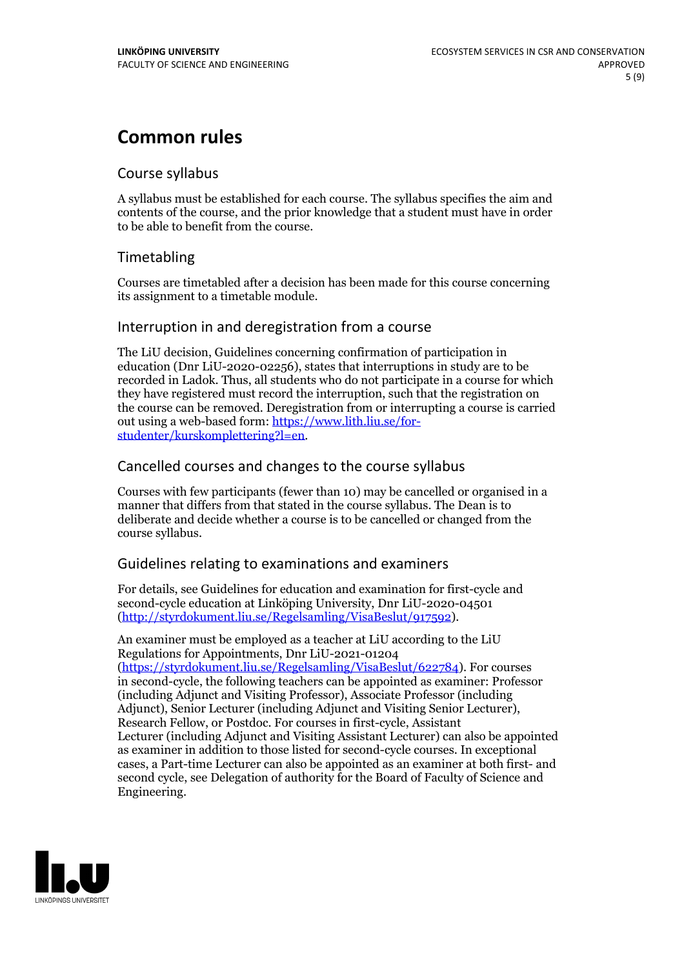## **Common rules**

## Course syllabus

A syllabus must be established for each course. The syllabus specifies the aim and contents of the course, and the prior knowledge that a student must have in order to be able to benefit from the course.

## Timetabling

Courses are timetabled after a decision has been made for this course concerning its assignment to a timetable module.

## Interruption in and deregistration from a course

The LiU decision, Guidelines concerning confirmation of participation in education (Dnr LiU-2020-02256), states that interruptions in study are to be recorded in Ladok. Thus, all students who do not participate in a course for which they have registered must record the interruption, such that the registration on the course can be removed. Deregistration from or interrupting a course is carried out using <sup>a</sup> web-based form: https://www.lith.liu.se/for- [studenter/kurskomplettering?l=en.](https://www.lith.liu.se/for-studenter/kurskomplettering?l=en)

## Cancelled coursesand changes to the course syllabus

Courses with few participants (fewer than 10) may be cancelled or organised in a manner that differs from that stated in the course syllabus. The Dean is to deliberate and decide whether a course is to be cancelled or changed from the course syllabus.

## Guidelines relating to examinations and examiners

For details, see Guidelines for education and examination for first-cycle and second-cycle education at Linköping University, Dnr LiU-2020-04501 [\(http://styrdokument.liu.se/Regelsamling/VisaBeslut/917592\)](http://styrdokument.liu.se/Regelsamling/VisaBeslut/917592).

An examiner must be employed as a teacher at LiU according to the LiU Regulations for Appointments, Dnr LiU-2021-01204 [\(https://styrdokument.liu.se/Regelsamling/VisaBeslut/622784](https://styrdokument.liu.se/Regelsamling/VisaBeslut/622784)). For courses in second-cycle, the following teachers can be appointed as examiner: Professor (including Adjunct and Visiting Professor), Associate Professor (including Adjunct), Senior Lecturer (including Adjunct and Visiting Senior Lecturer), Research Fellow, or Postdoc. For courses in first-cycle, Assistant Lecturer (including Adjunct and Visiting Assistant Lecturer) can also be appointed as examiner in addition to those listed for second-cycle courses. In exceptional cases, a Part-time Lecturer can also be appointed as an examiner at both first- and second cycle, see Delegation of authority for the Board of Faculty of Science and Engineering.

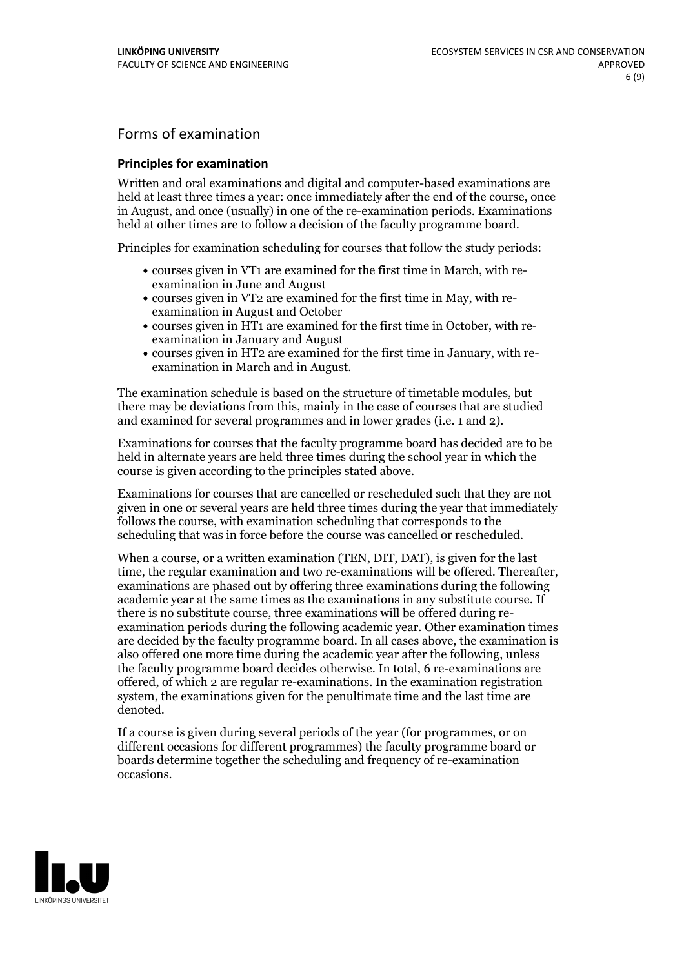## Forms of examination

#### **Principles for examination**

Written and oral examinations and digital and computer-based examinations are held at least three times a year: once immediately after the end of the course, once in August, and once (usually) in one of the re-examination periods. Examinations held at other times are to follow a decision of the faculty programme board.

Principles for examination scheduling for courses that follow the study periods:

- courses given in VT1 are examined for the first time in March, with re-examination in June and August
- courses given in VT2 are examined for the first time in May, with re-examination in August and October
- courses given in HT1 are examined for the first time in October, with re-examination in January and August
- courses given in HT2 are examined for the first time in January, with re-examination in March and in August.

The examination schedule is based on the structure of timetable modules, but there may be deviations from this, mainly in the case of courses that are studied and examined for several programmes and in lower grades (i.e. 1 and 2).

Examinations for courses that the faculty programme board has decided are to be held in alternate years are held three times during the school year in which the course is given according to the principles stated above.

Examinations for courses that are cancelled orrescheduled such that they are not given in one or several years are held three times during the year that immediately follows the course, with examination scheduling that corresponds to the scheduling that was in force before the course was cancelled or rescheduled.

When a course, or a written examination (TEN, DIT, DAT), is given for the last time, the regular examination and two re-examinations will be offered. Thereafter, examinations are phased out by offering three examinations during the following academic year at the same times as the examinations in any substitute course. If there is no substitute course, three examinations will be offered during re- examination periods during the following academic year. Other examination times are decided by the faculty programme board. In all cases above, the examination is also offered one more time during the academic year after the following, unless the faculty programme board decides otherwise. In total, 6 re-examinations are offered, of which 2 are regular re-examinations. In the examination registration system, the examinations given for the penultimate time and the last time are denoted.

If a course is given during several periods of the year (for programmes, or on different occasions for different programmes) the faculty programme board or boards determine together the scheduling and frequency of re-examination occasions.

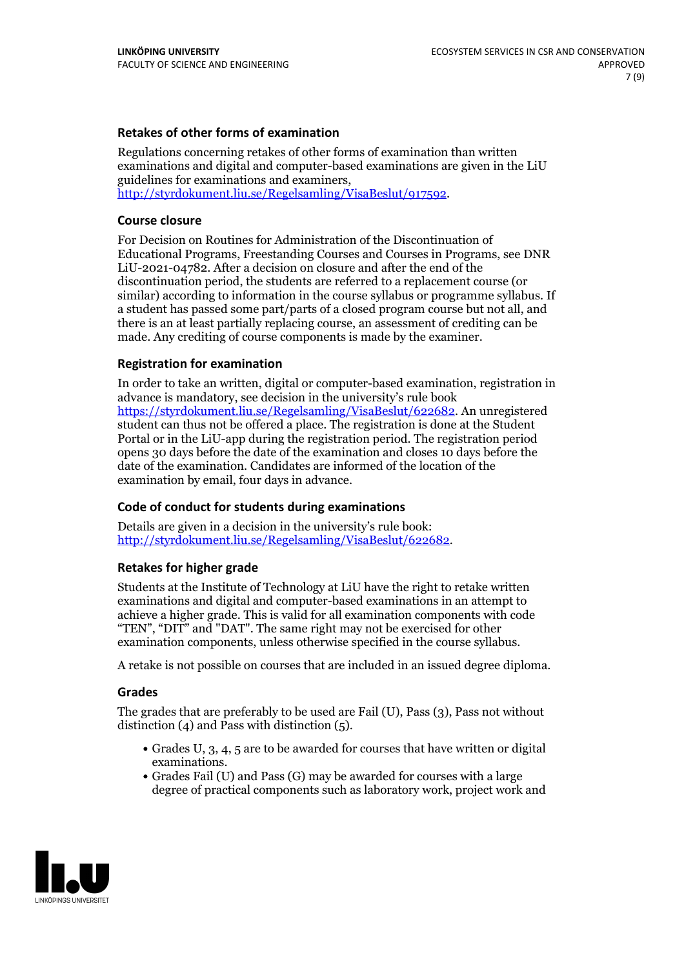### **Retakes of other forms of examination**

Regulations concerning retakes of other forms of examination than written examinations and digital and computer-based examinations are given in the LiU guidelines for examinations and examiners, [http://styrdokument.liu.se/Regelsamling/VisaBeslut/917592.](http://styrdokument.liu.se/Regelsamling/VisaBeslut/917592)

#### **Course closure**

For Decision on Routines for Administration of the Discontinuation of Educational Programs, Freestanding Courses and Courses in Programs, see DNR LiU-2021-04782. After a decision on closure and after the end of the discontinuation period, the students are referred to a replacement course (or similar) according to information in the course syllabus or programme syllabus. If a student has passed some part/parts of a closed program course but not all, and there is an at least partially replacing course, an assessment of crediting can be made. Any crediting of course components is made by the examiner.

### **Registration for examination**

In order to take an written, digital or computer-based examination, registration in advance is mandatory, see decision in the university's rule book [https://styrdokument.liu.se/Regelsamling/VisaBeslut/622682.](https://styrdokument.liu.se/Regelsamling/VisaBeslut/622682) An unregistered student can thus not be offered a place. The registration is done at the Student Portal or in the LiU-app during the registration period. The registration period opens 30 days before the date of the examination and closes 10 days before the date of the examination. Candidates are informed of the location of the examination by email, four days in advance.

### **Code of conduct for students during examinations**

Details are given in a decision in the university's rule book: <http://styrdokument.liu.se/Regelsamling/VisaBeslut/622682>.

#### **Retakes for higher grade**

Students at the Institute of Technology at LiU have the right to retake written examinations and digital and computer-based examinations in an attempt to achieve a higher grade. This is valid for all examination components with code "TEN", "DIT" and "DAT". The same right may not be exercised for other examination components, unless otherwise specified in the course syllabus.

A retake is not possible on courses that are included in an issued degree diploma.

#### **Grades**

The grades that are preferably to be used are Fail (U), Pass (3), Pass not without distinction  $(4)$  and Pass with distinction  $(5)$ .

- Grades U, 3, 4, 5 are to be awarded for courses that have written or digital examinations.<br>• Grades Fail (U) and Pass (G) may be awarded for courses with a large
- degree of practical components such as laboratory work, project work and

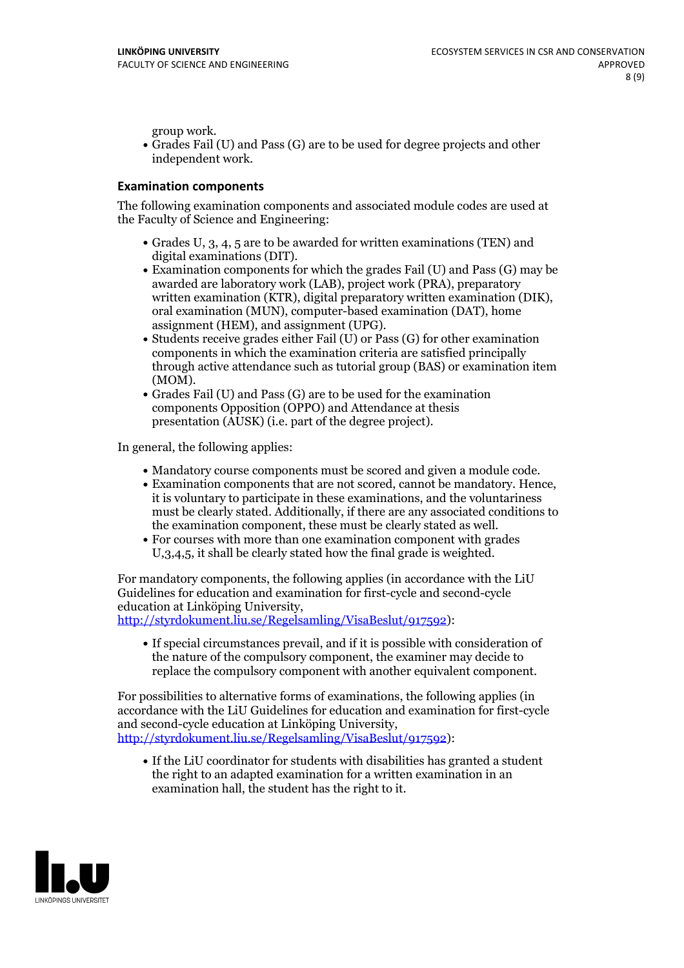group work.<br>• Grades Fail (U) and Pass (G) are to be used for degree projects and other independent work.

### **Examination components**

The following examination components and associated module codes are used at the Faculty of Science and Engineering:

- Grades U, 3, 4, 5 are to be awarded for written examinations (TEN) and
- digital examinations (DIT).<br>• Examination components for which the grades Fail (U) and Pass (G) may be awarded are laboratory work (LAB), project work (PRA), preparatory written examination (KTR), digital preparatory written examination (DIK), oral examination (MUN), computer-based examination (DAT), home
- assignment (HEM), and assignment (UPG).<br>• Students receive grades either Fail (U) or Pass (G) for other examination components in which the examination criteria are satisfied principally through active attendance such as tutorial group (BAS) or examination item
- (MOM).<br>• Grades Fail (U) and Pass (G) are to be used for the examination components Opposition (OPPO) and Attendance at thesis presentation (AUSK) (i.e. part of the degree project).

In general, the following applies:

- 
- Mandatory course components must be scored and given <sup>a</sup> module code. Examination components that are not scored, cannot be mandatory. Hence, it is voluntary to participate in these examinations, and the voluntariness must be clearly stated. Additionally, if there are any associated conditions to
- the examination component, these must be clearly stated as well.<br>• For courses with more than one examination component with grades U,3,4,5, it shall be clearly stated how the final grade is weighted.

For mandatory components, the following applies (in accordance with the LiU Guidelines for education and examination for first-cycle and second-cycle

[http://styrdokument.liu.se/Regelsamling/VisaBeslut/917592\)](http://styrdokument.liu.se/Regelsamling/VisaBeslut/917592):

If special circumstances prevail, and if it is possible with consideration of the nature of the compulsory component, the examiner may decide to replace the compulsory component with another equivalent component.

For possibilities to alternative forms of examinations, the following applies (in accordance with the LiU Guidelines for education and examination for first-cycle [http://styrdokument.liu.se/Regelsamling/VisaBeslut/917592\)](http://styrdokument.liu.se/Regelsamling/VisaBeslut/917592):

If the LiU coordinator for students with disabilities has granted a student the right to an adapted examination for a written examination in an examination hall, the student has the right to it.